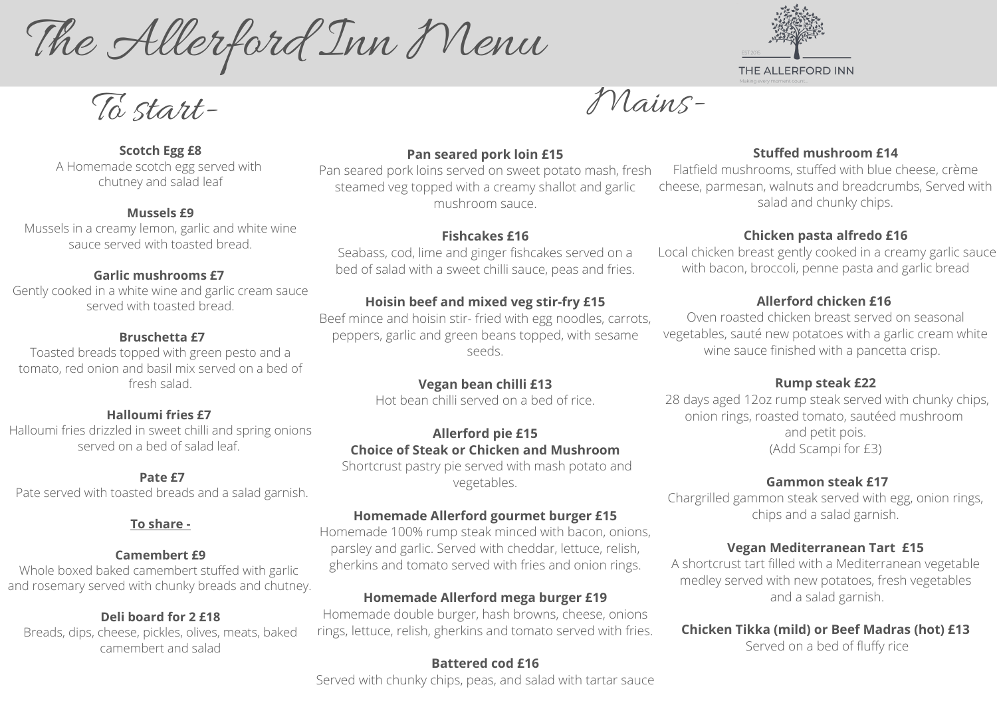The Allerford Inn Menu

To start-

#### **Scotch Egg £8**

A Homemade scotch egg served with chutney and salad leaf

#### **Mussels £9**

Mussels in a creamy lemon, garlic and white wine sauce served with toasted bread.

#### **Garlic mushrooms £7**

Gently cooked in a white wine and garlic cream sauce served with toasted bread.

#### **Bruschetta £7**

Toasted breads topped with green pesto and a tomato, red onion and basil mix served on a bed of fresh salad.

#### **Halloumi fries £7**

Halloumi fries drizzled in sweet chilli and spring onions served on a bed of salad leaf.

#### **Pate £7**

Pate served with toasted breads and a salad garnish.

#### **To share -**

#### **Camembert £9**

Whole boxed baked camembert stuffed with garlic and rosemary served with chunky breads and chutney.

#### **Deli board for 2 £18**

Breads, dips, cheese, pickles, olives, meats, baked camembert and salad



### **Pan seared pork loin £15**

#### **Fishcakes £16**

Seabass, cod, lime and ginger fishcakes served on a bed of salad with a sweet chilli sauce, peas and fries.

### **Hoisin beef and mixed veg stir-fry £15**

### **Vegan bean chilli £13**

Hot bean chilli served on a bed of rice.

#### **Allerford pie £15 Choice of Steak or Chicken and Mushroom**

Shortcrust pastry pie served with mash potato and vegetables.

Pan seared pork loins served on sweet potato mash, fresh steamed veg topped with a creamy shallot and garlic mushroom sauce. Flatfield mushrooms, stuffed with blue cheese, crème cheese, parmesan, walnuts and breadcrumbs, Served with salad and chunky chips.

#### **Homemade Allerford gourmet burger £15**

Homemade 100% rump steak minced with bacon, onions, parsley and garlic. Served with cheddar, lettuce, relish, gherkins and tomato served with fries and onion rings.

## **Homemade Allerford mega burger £19**

Beef mince and hoisin stir- fried with egg noodles, carrots, peppers, garlic and green beans topped, with sesame seeds. Oven roasted chicken breast served on seasonal vegetables, sauté new potatoes with a garlic cream white wine sauce finished with a pancetta crisp.

Homemade double burger, hash browns, cheese, onions rings, lettuce, relish, gherkins and tomato served with fries.

## **Battered cod £16**

Served with chunky chips, peas, and salad with tartar sauce



## **Stuffed mushroom £14**

## **Chicken pasta alfredo £16**

Local chicken breast gently cooked in a creamy garlic sauce with bacon, broccoli, penne pasta and garlic bread

## **Allerford chicken £16**

### **Rump steak £22**

28 days aged 12oz rump steak served with chunky chips, onion rings, roasted tomato, sautéed mushroom and petit pois. (Add Scampi for £3)

### **Gammon steak £17**

Chargrilled gammon steak served with egg, onion rings, chips and a salad garnish.

### **Vegan Mediterranean Tart £15**

A shortcrust tart filled with a Mediterranean vegetable medley served with new potatoes, fresh vegetables and a salad garnish.

## **Chicken Tikka (mild) or Beef Madras (hot) £13**

Served on a bed of fluffy rice